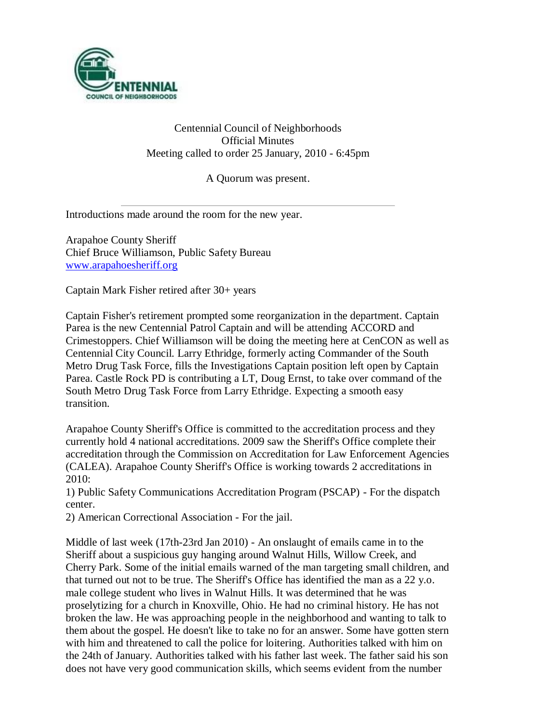

Centennial Council of Neighborhoods Official Minutes Meeting called to order 25 January, 2010 - 6:45pm

A Quorum was present.

Introductions made around the room for the new year.

Arapahoe County Sheriff Chief Bruce Williamson, Public Safety Bureau [www.arapahoesheriff.org](http://www.arapahoesheriff.org/)

Captain Mark Fisher retired after 30+ years

Captain Fisher's retirement prompted some reorganization in the department. Captain Parea is the new Centennial Patrol Captain and will be attending ACCORD and Crimestoppers. Chief Williamson will be doing the meeting here at CenCON as well as Centennial City Council. Larry Ethridge, formerly acting Commander of the South Metro Drug Task Force, fills the Investigations Captain position left open by Captain Parea. Castle Rock PD is contributing a LT, Doug Ernst, to take over command of the South Metro Drug Task Force from Larry Ethridge. Expecting a smooth easy transition.

Arapahoe County Sheriff's Office is committed to the accreditation process and they currently hold 4 national accreditations. 2009 saw the Sheriff's Office complete their accreditation through the Commission on Accreditation for Law Enforcement Agencies (CALEA). Arapahoe County Sheriff's Office is working towards 2 accreditations in 2010:

1) Public Safety Communications Accreditation Program (PSCAP) - For the dispatch center.

2) American Correctional Association - For the jail.

Middle of last week (17th-23rd Jan 2010) - An onslaught of emails came in to the Sheriff about a suspicious guy hanging around Walnut Hills, Willow Creek, and Cherry Park. Some of the initial emails warned of the man targeting small children, and that turned out not to be true. The Sheriff's Office has identified the man as a 22 y.o. male college student who lives in Walnut Hills. It was determined that he was proselytizing for a church in Knoxville, Ohio. He had no criminal history. He has not broken the law. He was approaching people in the neighborhood and wanting to talk to them about the gospel. He doesn't like to take no for an answer. Some have gotten stern with him and threatened to call the police for loitering. Authorities talked with him on the 24th of January. Authorities talked with his father last week. The father said his son does not have very good communication skills, which seems evident from the number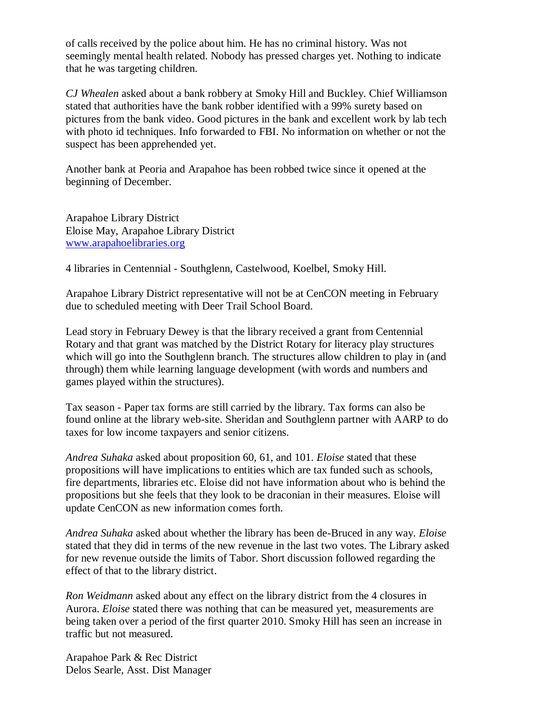of calls received by the police about him. He has no criminal history. Was not seemingly mental health related. Nobody has pressed charges yet. Nothing to indicate that he was targeting children.

*CJ Whealen* asked about a bank robbery at Smoky Hill and Buckley. Chief Williamson stated that authorities have the bank robber identified with a 99% surety based on pictures from the bank video. Good pictures in the bank and excellent work by lab tech with photo id techniques. Info forwarded to FBI. No information on whether or not the suspect has been apprehended yet.

Another bank at Peoria and Arapahoe has been robbed twice since it opened at the beginning of December.

Arapahoe Library District Eloise May, Arapahoe Library District [www.arapahoelibraries.org](http://www.arapahoelibraries.org/)

4 libraries in Centennial - Southglenn, Castelwood, Koelbel, Smoky Hill.

Arapahoe Library District representative will not be at CenCON meeting in February due to scheduled meeting with Deer Trail School Board.

Lead story in February Dewey is that the library received a grant from Centennial Rotary and that grant was matched by the District Rotary for literacy play structures which will go into the Southglenn branch. The structures allow children to play in (and through) them while learning language development (with words and numbers and games played within the structures).

Tax season - Paper tax forms are still carried by the library. Tax forms can also be found online at the library web-site. Sheridan and Southglenn partner with AARP to do taxes for low income taxpayers and senior citizens.

*Andrea Suhaka* asked about proposition 60, 61, and 101. *Eloise* stated that these propositions will have implications to entities which are tax funded such as schools, fire departments, libraries etc. Eloise did not have information about who is behind the propositions but she feels that they look to be draconian in their measures. Eloise will update CenCON as new information comes forth.

*Andrea Suhaka* asked about whether the library has been de-Bruced in any way. *Eloise* stated that they did in terms of the new revenue in the last two votes. The Library asked for new revenue outside the limits of Tabor. Short discussion followed regarding the effect of that to the library district.

*Ron Weidmann* asked about any effect on the library district from the 4 closures in Aurora. *Eloise* stated there was nothing that can be measured yet, measurements are being taken over a period of the first quarter 2010. Smoky Hill has seen an increase in traffic but not measured.

Arapahoe Park & Rec District Delos Searle, Asst. Dist Manager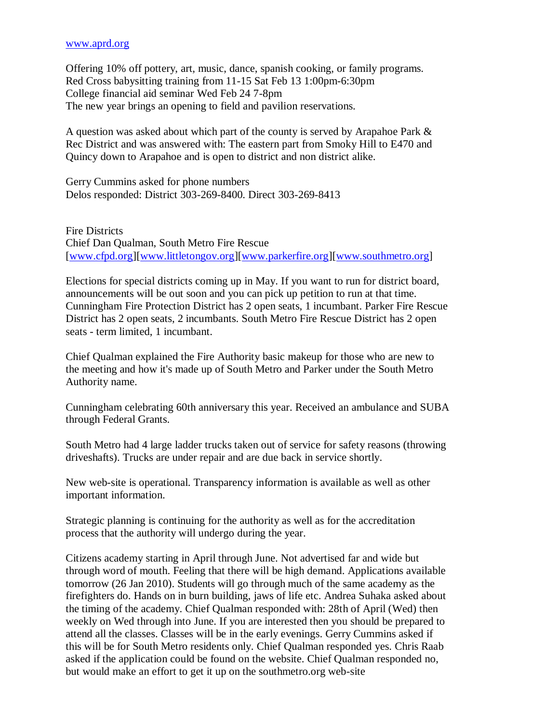#### [www.aprd.org](http://www.aprd.org/)

Offering 10% off pottery, art, music, dance, spanish cooking, or family programs. Red Cross babysitting training from 11-15 Sat Feb 13 1:00pm-6:30pm College financial aid seminar Wed Feb 24 7-8pm The new year brings an opening to field and pavilion reservations.

A question was asked about which part of the county is served by Arapahoe Park & Rec District and was answered with: The eastern part from Smoky Hill to E470 and Quincy down to Arapahoe and is open to district and non district alike.

Gerry Cummins asked for phone numbers Delos responded: District 303-269-8400. Direct 303-269-8413

Fire Districts Chief Dan Qualman, South Metro Fire Rescue [\[www.cfpd.org\]](http://www.cfpd.org/)[\[www.littletongov.org\]](http://www.littletongov.org/)[\[www.parkerfire.org\]](http://www.parkerfire.org/)[\[www.southmetro.org\]](http://www.southmetro.org/)

Elections for special districts coming up in May. If you want to run for district board, announcements will be out soon and you can pick up petition to run at that time. Cunningham Fire Protection District has 2 open seats, 1 incumbant. Parker Fire Rescue District has 2 open seats, 2 incumbants. South Metro Fire Rescue District has 2 open seats - term limited, 1 incumbant.

Chief Qualman explained the Fire Authority basic makeup for those who are new to the meeting and how it's made up of South Metro and Parker under the South Metro Authority name.

Cunningham celebrating 60th anniversary this year. Received an ambulance and SUBA through Federal Grants.

South Metro had 4 large ladder trucks taken out of service for safety reasons (throwing driveshafts). Trucks are under repair and are due back in service shortly.

New web-site is operational. Transparency information is available as well as other important information.

Strategic planning is continuing for the authority as well as for the accreditation process that the authority will undergo during the year.

Citizens academy starting in April through June. Not advertised far and wide but through word of mouth. Feeling that there will be high demand. Applications available tomorrow (26 Jan 2010). Students will go through much of the same academy as the firefighters do. Hands on in burn building, jaws of life etc. Andrea Suhaka asked about the timing of the academy. Chief Qualman responded with: 28th of April (Wed) then weekly on Wed through into June. If you are interested then you should be prepared to attend all the classes. Classes will be in the early evenings. Gerry Cummins asked if this will be for South Metro residents only. Chief Qualman responded yes. Chris Raab asked if the application could be found on the website. Chief Qualman responded no, but would make an effort to get it up on the southmetro.org web-site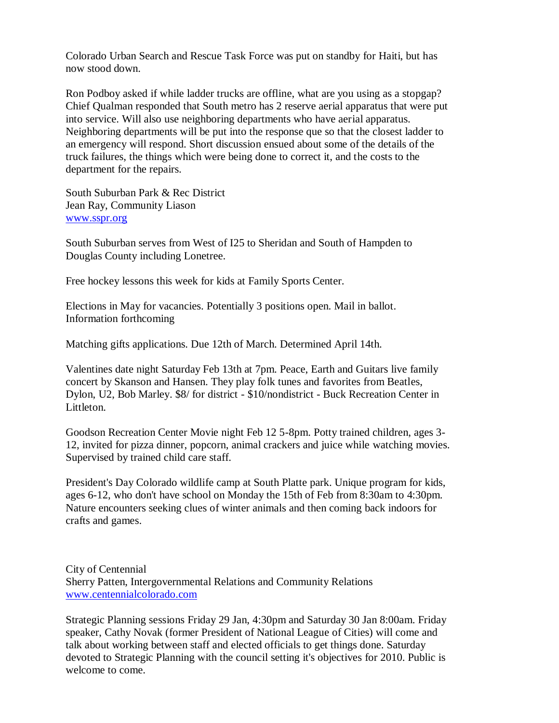Colorado Urban Search and Rescue Task Force was put on standby for Haiti, but has now stood down.

Ron Podboy asked if while ladder trucks are offline, what are you using as a stopgap? Chief Qualman responded that South metro has 2 reserve aerial apparatus that were put into service. Will also use neighboring departments who have aerial apparatus. Neighboring departments will be put into the response que so that the closest ladder to an emergency will respond. Short discussion ensued about some of the details of the truck failures, the things which were being done to correct it, and the costs to the department for the repairs.

South Suburban Park & Rec District Jean Ray, Community Liason [www.sspr.org](http://www.sspr.org/)

South Suburban serves from West of I25 to Sheridan and South of Hampden to Douglas County including Lonetree.

Free hockey lessons this week for kids at Family Sports Center.

Elections in May for vacancies. Potentially 3 positions open. Mail in ballot. Information forthcoming

Matching gifts applications. Due 12th of March. Determined April 14th.

Valentines date night Saturday Feb 13th at 7pm. Peace, Earth and Guitars live family concert by Skanson and Hansen. They play folk tunes and favorites from Beatles, Dylon, U2, Bob Marley. \$8/ for district - \$10/nondistrict - Buck Recreation Center in Littleton.

Goodson Recreation Center Movie night Feb 12 5-8pm. Potty trained children, ages 3- 12, invited for pizza dinner, popcorn, animal crackers and juice while watching movies. Supervised by trained child care staff.

President's Day Colorado wildlife camp at South Platte park. Unique program for kids, ages 6-12, who don't have school on Monday the 15th of Feb from 8:30am to 4:30pm. Nature encounters seeking clues of winter animals and then coming back indoors for crafts and games.

City of Centennial Sherry Patten, Intergovernmental Relations and Community Relations [www.centennialcolorado.com](http://www.centennialcolorado.com/)

Strategic Planning sessions Friday 29 Jan, 4:30pm and Saturday 30 Jan 8:00am. Friday speaker, Cathy Novak (former President of National League of Cities) will come and talk about working between staff and elected officials to get things done. Saturday devoted to Strategic Planning with the council setting it's objectives for 2010. Public is welcome to come.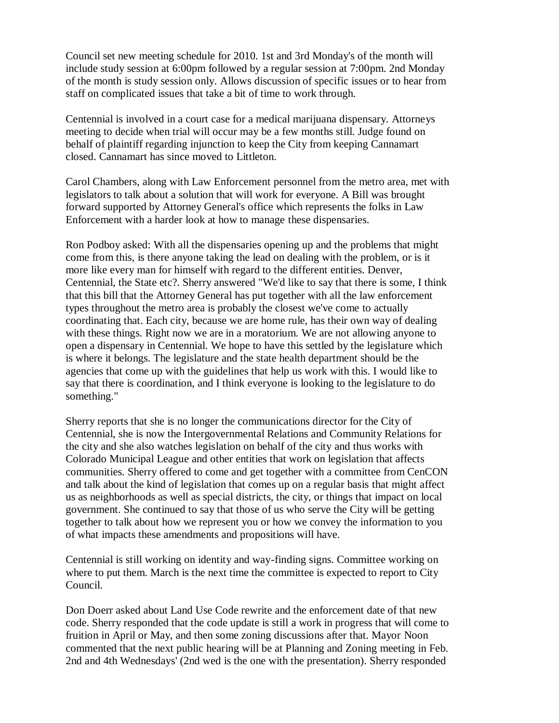Council set new meeting schedule for 2010. 1st and 3rd Monday's of the month will include study session at 6:00pm followed by a regular session at 7:00pm. 2nd Monday of the month is study session only. Allows discussion of specific issues or to hear from staff on complicated issues that take a bit of time to work through.

Centennial is involved in a court case for a medical marijuana dispensary. Attorneys meeting to decide when trial will occur may be a few months still. Judge found on behalf of plaintiff regarding injunction to keep the City from keeping Cannamart closed. Cannamart has since moved to Littleton.

Carol Chambers, along with Law Enforcement personnel from the metro area, met with legislators to talk about a solution that will work for everyone. A Bill was brought forward supported by Attorney General's office which represents the folks in Law Enforcement with a harder look at how to manage these dispensaries.

Ron Podboy asked: With all the dispensaries opening up and the problems that might come from this, is there anyone taking the lead on dealing with the problem, or is it more like every man for himself with regard to the different entities. Denver, Centennial, the State etc?. Sherry answered "We'd like to say that there is some, I think that this bill that the Attorney General has put together with all the law enforcement types throughout the metro area is probably the closest we've come to actually coordinating that. Each city, because we are home rule, has their own way of dealing with these things. Right now we are in a moratorium. We are not allowing anyone to open a dispensary in Centennial. We hope to have this settled by the legislature which is where it belongs. The legislature and the state health department should be the agencies that come up with the guidelines that help us work with this. I would like to say that there is coordination, and I think everyone is looking to the legislature to do something."

Sherry reports that she is no longer the communications director for the City of Centennial, she is now the Intergovernmental Relations and Community Relations for the city and she also watches legislation on behalf of the city and thus works with Colorado Municipal League and other entities that work on legislation that affects communities. Sherry offered to come and get together with a committee from CenCON and talk about the kind of legislation that comes up on a regular basis that might affect us as neighborhoods as well as special districts, the city, or things that impact on local government. She continued to say that those of us who serve the City will be getting together to talk about how we represent you or how we convey the information to you of what impacts these amendments and propositions will have.

Centennial is still working on identity and way-finding signs. Committee working on where to put them. March is the next time the committee is expected to report to City Council.

Don Doerr asked about Land Use Code rewrite and the enforcement date of that new code. Sherry responded that the code update is still a work in progress that will come to fruition in April or May, and then some zoning discussions after that. Mayor Noon commented that the next public hearing will be at Planning and Zoning meeting in Feb. 2nd and 4th Wednesdays' (2nd wed is the one with the presentation). Sherry responded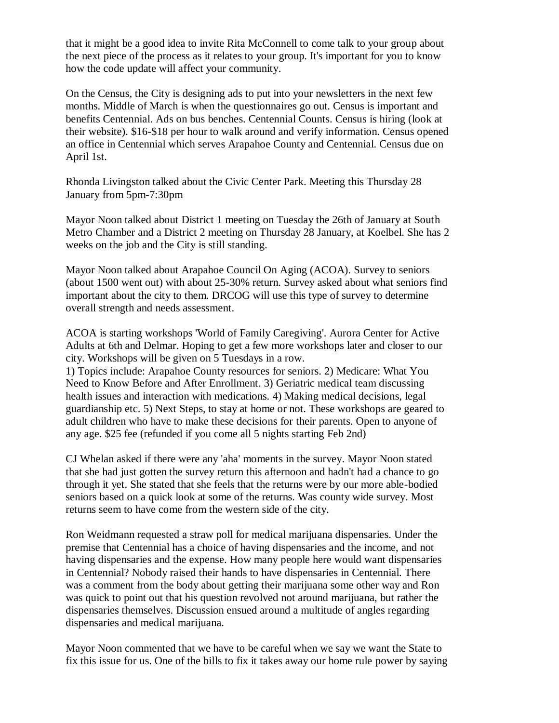that it might be a good idea to invite Rita McConnell to come talk to your group about the next piece of the process as it relates to your group. It's important for you to know how the code update will affect your community.

On the Census, the City is designing ads to put into your newsletters in the next few months. Middle of March is when the questionnaires go out. Census is important and benefits Centennial. Ads on bus benches. Centennial Counts. Census is hiring (look at their website). \$16-\$18 per hour to walk around and verify information. Census opened an office in Centennial which serves Arapahoe County and Centennial. Census due on April 1st.

Rhonda Livingston talked about the Civic Center Park. Meeting this Thursday 28 January from 5pm-7:30pm

Mayor Noon talked about District 1 meeting on Tuesday the 26th of January at South Metro Chamber and a District 2 meeting on Thursday 28 January, at Koelbel. She has 2 weeks on the job and the City is still standing.

Mayor Noon talked about Arapahoe Council On Aging (ACOA). Survey to seniors (about 1500 went out) with about 25-30% return. Survey asked about what seniors find important about the city to them. DRCOG will use this type of survey to determine overall strength and needs assessment.

ACOA is starting workshops 'World of Family Caregiving'. Aurora Center for Active Adults at 6th and Delmar. Hoping to get a few more workshops later and closer to our city. Workshops will be given on 5 Tuesdays in a row.

1) Topics include: Arapahoe County resources for seniors. 2) Medicare: What You Need to Know Before and After Enrollment. 3) Geriatric medical team discussing health issues and interaction with medications. 4) Making medical decisions, legal guardianship etc. 5) Next Steps, to stay at home or not. These workshops are geared to adult children who have to make these decisions for their parents. Open to anyone of any age. \$25 fee (refunded if you come all 5 nights starting Feb 2nd)

CJ Whelan asked if there were any 'aha' moments in the survey. Mayor Noon stated that she had just gotten the survey return this afternoon and hadn't had a chance to go through it yet. She stated that she feels that the returns were by our more able-bodied seniors based on a quick look at some of the returns. Was county wide survey. Most returns seem to have come from the western side of the city.

Ron Weidmann requested a straw poll for medical marijuana dispensaries. Under the premise that Centennial has a choice of having dispensaries and the income, and not having dispensaries and the expense. How many people here would want dispensaries in Centennial? Nobody raised their hands to have dispensaries in Centennial. There was a comment from the body about getting their marijuana some other way and Ron was quick to point out that his question revolved not around marijuana, but rather the dispensaries themselves. Discussion ensued around a multitude of angles regarding dispensaries and medical marijuana.

Mayor Noon commented that we have to be careful when we say we want the State to fix this issue for us. One of the bills to fix it takes away our home rule power by saying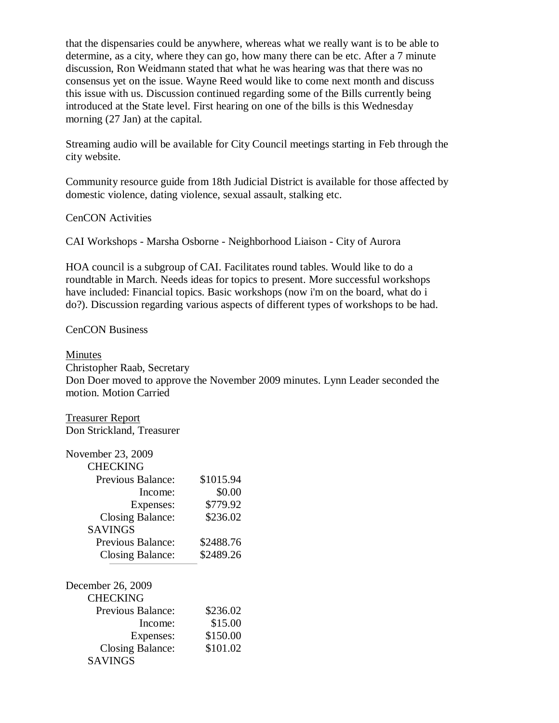that the dispensaries could be anywhere, whereas what we really want is to be able to determine, as a city, where they can go, how many there can be etc. After a 7 minute discussion, Ron Weidmann stated that what he was hearing was that there was no consensus yet on the issue. Wayne Reed would like to come next month and discuss this issue with us. Discussion continued regarding some of the Bills currently being introduced at the State level. First hearing on one of the bills is this Wednesday morning (27 Jan) at the capital.

Streaming audio will be available for City Council meetings starting in Feb through the city website.

Community resource guide from 18th Judicial District is available for those affected by domestic violence, dating violence, sexual assault, stalking etc.

CenCON Activities

CAI Workshops - Marsha Osborne - Neighborhood Liaison - City of Aurora

HOA council is a subgroup of CAI. Facilitates round tables. Would like to do a roundtable in March. Needs ideas for topics to present. More successful workshops have included: Financial topics. Basic workshops (now i'm on the board, what do i do?). Discussion regarding various aspects of different types of workshops to be had.

CenCON Business

#### Minutes

Christopher Raab, Secretary

Don Doer moved to approve the November 2009 minutes. Lynn Leader seconded the motion. Motion Carried

Treasurer Report Don Strickland, Treasurer

| November 23, 2009        |           |
|--------------------------|-----------|
| CHECKING                 |           |
| <b>Previous Balance:</b> | \$1015.94 |
| Income:                  | \$0.00    |
| Expenses:                | \$779.92  |
| <b>Closing Balance:</b>  | \$236.02  |
| <b>SAVINGS</b>           |           |
| Previous Balance:        | \$2488.76 |
| Closing Balance:         | \$2489.26 |
|                          |           |
| December 26, 2009        |           |
| <b>CHECKING</b>          |           |
| <b>Previous Balance:</b> | \$236.02  |
| Income:                  | \$15.00   |
| Expenses:                | \$150.00  |
| <b>Closing Balance:</b>  | \$101.02  |
| SAVINGS                  |           |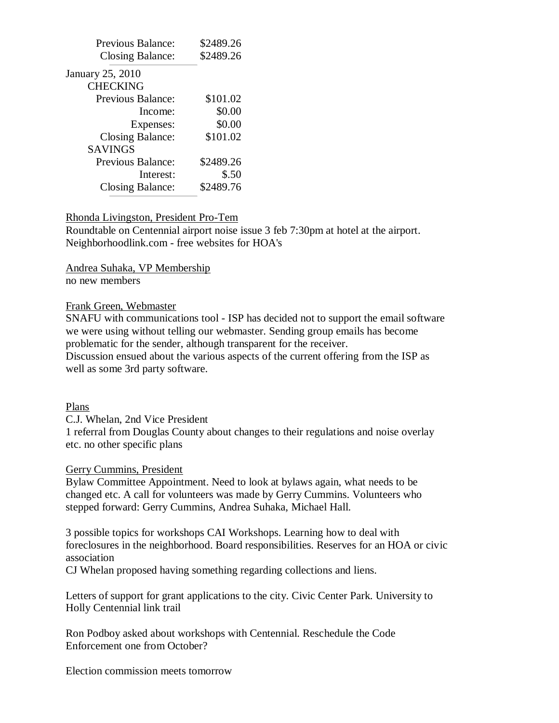| Previous Balance:       | \$2489.26 |
|-------------------------|-----------|
| Closing Balance:        | \$2489.26 |
| January 25, 2010        |           |
| <b>CHECKING</b>         |           |
| Previous Balance:       | \$101.02  |
| Income:                 | \$0.00    |
| Expenses:               | \$0.00    |
| <b>Closing Balance:</b> | \$101.02  |
| <b>SAVINGS</b>          |           |
| Previous Balance:       | \$2489.26 |
| Interest:               | \$.50     |
| Closing Balance:        | \$2489.76 |

### Rhonda Livingston, President Pro-Tem

Roundtable on Centennial airport noise issue 3 feb 7:30pm at hotel at the airport. Neighborhoodlink.com - free websites for HOA's

Andrea Suhaka, VP Membership no new members

### Frank Green, Webmaster

SNAFU with communications tool - ISP has decided not to support the email software we were using without telling our webmaster. Sending group emails has become problematic for the sender, although transparent for the receiver. Discussion ensued about the various aspects of the current offering from the ISP as

well as some 3rd party software.

# Plans

C.J. Whelan, 2nd Vice President

1 referral from Douglas County about changes to their regulations and noise overlay etc. no other specific plans

# Gerry Cummins, President

Bylaw Committee Appointment. Need to look at bylaws again, what needs to be changed etc. A call for volunteers was made by Gerry Cummins. Volunteers who stepped forward: Gerry Cummins, Andrea Suhaka, Michael Hall.

3 possible topics for workshops CAI Workshops. Learning how to deal with foreclosures in the neighborhood. Board responsibilities. Reserves for an HOA or civic association

CJ Whelan proposed having something regarding collections and liens.

Letters of support for grant applications to the city. Civic Center Park. University to Holly Centennial link trail

Ron Podboy asked about workshops with Centennial. Reschedule the Code Enforcement one from October?

Election commission meets tomorrow